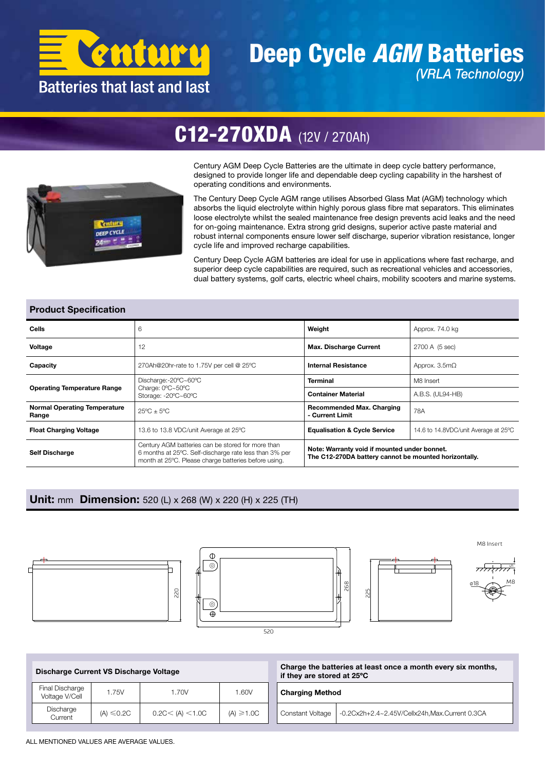

### Deep Cycle *AGM* Batteries *(VRLA Technology)*

## C12-270XDA (12V / 270Ah)



Century AGM Deep Cycle Batteries are the ultimate in deep cycle battery performance, designed to provide longer life and dependable deep cycling capability in the harshest of operating conditions and environments.

The Century Deep Cycle AGM range utilises Absorbed Glass Mat (AGM) technology which absorbs the liquid electrolyte within highly porous glass fibre mat separators. This eliminates loose electrolyte whilst the sealed maintenance free design prevents acid leaks and the need for on-going maintenance. Extra strong grid designs, superior active paste material and robust internal components ensure lower self discharge, superior vibration resistance, longer cycle life and improved recharge capabilities.

Century Deep Cycle AGM batteries are ideal for use in applications where fast recharge, and superior deep cycle capabilities are required, such as recreational vehicles and accessories, dual battery systems, golf carts, electric wheel chairs, mobility scooters and marine systems.

#### Product Specification

| Cells                                        | 6                                                                                                                                                                   | Weight                                              | Approx. 74.0 kg                                                                                       |  |  |  |
|----------------------------------------------|---------------------------------------------------------------------------------------------------------------------------------------------------------------------|-----------------------------------------------------|-------------------------------------------------------------------------------------------------------|--|--|--|
| Voltage                                      | 12                                                                                                                                                                  | <b>Max. Discharge Current</b>                       | 2700 A (5 sec)                                                                                        |  |  |  |
| Capacity                                     | 270Ah@20hr-rate to 1.75V per cell @ 25°C                                                                                                                            | <b>Internal Resistance</b>                          | Approx. $3.5m\Omega$                                                                                  |  |  |  |
| <b>Operating Temperature Range</b>           | Discharge:-20°C~60°C                                                                                                                                                | <b>Terminal</b>                                     | M8 Insert                                                                                             |  |  |  |
|                                              | Charge: 0°C~50°C<br>Storage: -20°C~60°C                                                                                                                             | <b>Container Material</b>                           | A.B.S. (UL94-HB)                                                                                      |  |  |  |
| <b>Normal Operating Temperature</b><br>Range | $25^{\circ}$ C + $5^{\circ}$ C                                                                                                                                      | <b>Recommended Max. Charging</b><br>- Current Limit | 78A                                                                                                   |  |  |  |
| <b>Float Charging Voltage</b>                | 13.6 to 13.8 VDC/unit Average at 25°C                                                                                                                               | <b>Equalisation &amp; Cycle Service</b>             | 14.6 to 14.8VDC/unit Average at 25°C                                                                  |  |  |  |
| <b>Self Discharge</b>                        | Century AGM batteries can be stored for more than<br>6 months at 25°C. Self-discharge rate less than 3% per<br>month at 25°C. Please charge batteries before using. |                                                     | Note: Warranty void if mounted under bonnet.<br>The C12-270DA battery cannot be mounted horizontally. |  |  |  |

#### Unit: mm Dimension: 520 (L) x 268 (W) x 220 (H) x 225 (TH)









M8 Insert

Discharge Current VS Discharge Voltage Final Discharge Pinal Discharge | 1.75V | 1.70V | 1.60V<br>Voltage V/Cell | 1.75V | 1.70V | 1.60V Discharge Current (A) ≤0.2C 0.2C< (A) <1.0C (A) ≥1.0C Charge the batteries at least once a month every six months, if they are stored at 25ºC Charging Method Constant Voltage | -0.2Cx2h+2.4~2.45V/Cellx24h,Max.Current 0.3CA

ALL MENTIONED VALUES ARE AVERAGE VALUES.